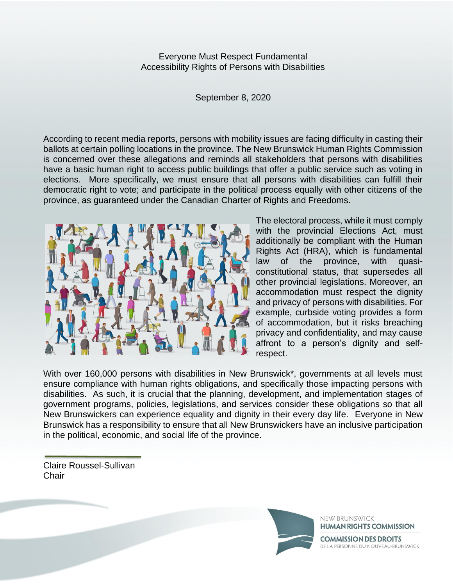Everyone Must Respect Fundamental Accessibility Rights of Persons with Disabilities

September 8, 2020

According to recent media reports, persons with mobility issues are facing difficulty in casting their ballots at certain polling locations in the province. The New Brunswick Human Rights Commission is concerned over these allegations and reminds all stakeholders that persons with disabilities have a basic human right to access public buildings that offer a public service such as voting in elections. More specifically, we must ensure that all persons with disabilities can fulfill their democratic right to vote; and participate in the political process equally with other citizens of the province, as guaranteed under the Canadian Charter of Rights and Freedoms.



The electoral process, while it must comply with the provincial Elections Act, must additionally be compliant with the Human Rights Act (HRA), which is fundamental law of the province, with quasiconstitutional status, that supersedes all other provincial legislations. Moreover, an accommodation must respect the dignity and privacy of persons with disabilities. For example, curbside voting provides a form of accommodation, but it risks breaching privacy and confidentiality, and may cause affront to a person's dignity and selfrespect.

With over 160,000 persons with disabilities in New Brunswick\*, governments at all levels must ensure compliance with human rights obligations, and specifically those impacting persons with disabilities. As such, it is crucial that the planning, development, and implementation stages of government programs, policies, legislations, and services consider these obligations so that all New Brunswickers can experience equality and dignity in their every day life. Everyone in New Brunswick has a responsibility to ensure that all New Brunswickers have an inclusive participation in the political, economic, and social life of the province.

Claire Roussel-Sullivan **Chair** 



NEW BRUNSWICK **HUMAN RIGHTS COMMISSION COMMISSION DES DROITS** 

DE LA PERSONNE DU NOUVEAU-BRUNSWICK